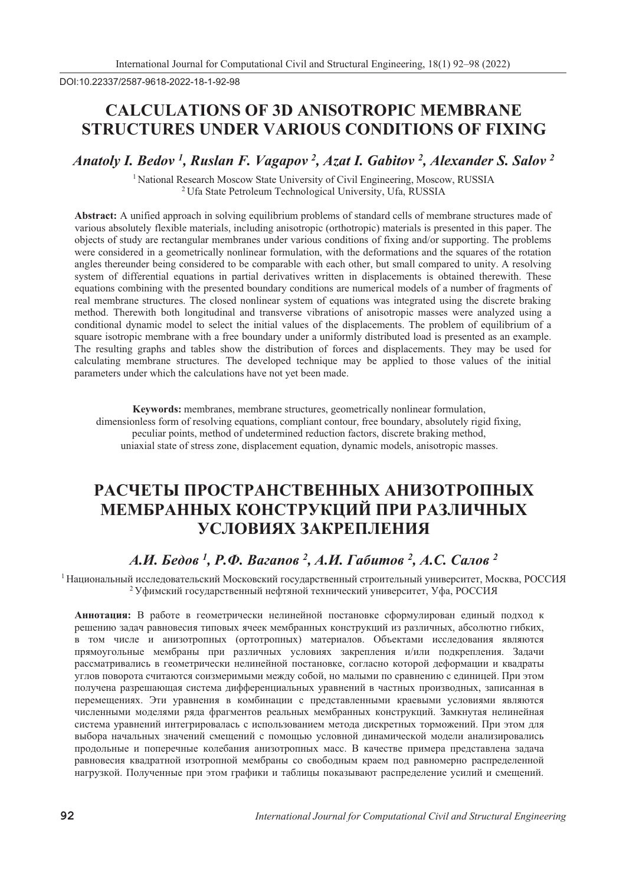DOI:10.22337/2587-9618-2022-18-1-92-98

## **CALCULATIONS OF 3D ANISOTROPIC MEMBRANE STRUCTURES UNDER VARIOUS CONDITIONS OF FIXING**

*Anatoly I. Bedov <sup>1</sup> , Ruslan F. Vagapov <sup>2</sup> , Azat I. Gabitov 2 , Alexander S. Salov <sup>2</sup>*

<sup>1</sup> National Research Moscow State University of Civil Engineering, Moscow, RUSSIA<br><sup>2</sup> Ufa State Petroleum Technological University, Ufa, RUSSIA

**Abstract:** A unified approach in solving equilibrium problems of standard cells of membrane structures made of various absolutely flexible materials, including anisotropic (orthotropic) materials is presented in this paper. The objects of study are rectangular membranes under various conditions of fixing and/or supporting. The problems were considered in a geometrically nonlinear formulation, with the deformations and the squares of the rotation angles thereunder being considered to be comparable with each other, but small compared to unity. A resolving system of differential equations in partial derivatives written in displacements is obtained therewith. These equations combining with the presented boundary conditions are numerical models of a number of fragments of real membrane structures. The closed nonlinear system of equations was integrated using the discrete braking method. Therewith both longitudinal and transverse vibrations of anisotropic masses were analyzed using a conditional dynamic model to select the initial values of the displacements. The problem of equilibrium of a square isotropic membrane with a free boundary under a uniformly distributed load is presented as an example. The resulting graphs and tables show the distribution of forces and displacements. They may be used for calculating membrane structures. The developed technique may be applied to those values of the initial parameters under which the calculations have not yet been made.

**Keywords:** membranes, membrane structures, geometrically nonlinear formulation, dimensionless form of resolving equations, compliant contour, free boundary, absolutely rigid fixing, peculiar points, method of undetermined reduction factors, discrete braking method, uniaxial state of stress zone, displacement equation, dynamic models, anisotropic masses.

# РАСЧЕТЫ ПРОСТРАНСТВЕННЫХ АНИЗОТРОПНЫХ МЕМБРАННЫХ КОНСТРУКЦИЙ ПРИ РАЗЛИЧНЫХ УСЛОВИЯХ ЗАКРЕПЛЕНИЯ

### *А.И. Бедов <sup>1</sup>, Р.Ф. Вагапов <sup>2</sup>, А.И. Габитов <sup>2</sup>, А.С. Салов <sup>2</sup>*

<sup>1</sup> Национальный исследовательский Московский государственный строительный университет, Москва, РОССИЯ <sup>2</sup> Уфимский государственный нефтяной технический университет, Уфа, РОССИЯ

Аннотация: В работе в геометрически нелинейной постановке сформулирован единый подход к решению задач равновесия типовых ячеек мембранных конструкций из различных, абсолютно гибких,  $\overline{B}$  том числе и анизотропных (ортотропных) материалов. Объектами исследования являются прямоугольные мембраны при различных условиях закрепления и/или подкрепления. Задачи **и** *а и z <i>n***<sup>1</sup>** *<b><i>l***<sub>1</sub>** *I***<sup>1</sup> <b>***l***<sub>1</sub>** *I <i>l***<sub>1</sub> <b>***l***<sub>1</sub>** *i <i>l***<sub>1</sub>** *i <i>l***<sub>1</sub>** *i <i>l***<sub>1</sub>** *i**<b><i>l***<sub>1</sub>** *i <i>l <i>l***<sub>1</sub>** *i**<b><i>l <i>l <i>l <i>l <i>l <i>l <i>l <i>l* углов поворота считаются соизмеримыми между собой, но малыми по сравнению с единицей. При этом лолучена разрешающая система дифференциальных уравнений в частных производных, записанная в перемещениях. Эти уравнения в комбинации с представленными краевыми условиями являются численными моделями ряда фрагментов реальных мембранных конструкций. Замкнутая нелинейная система уравнений интегрировалась с использованием метода дискретных торможений. При этом для выбора начальных значений смещений с помощью условной динамической модели анализировались продольные и поперечные колебания анизотропных масс. В качестве примера представлена задача **и**авновесия квадратной изотропной мембраны со свободным краем под равномерно распределенной нагрузкой. Полученные при этом графики и таблицы показывают распределение усилий и смещений.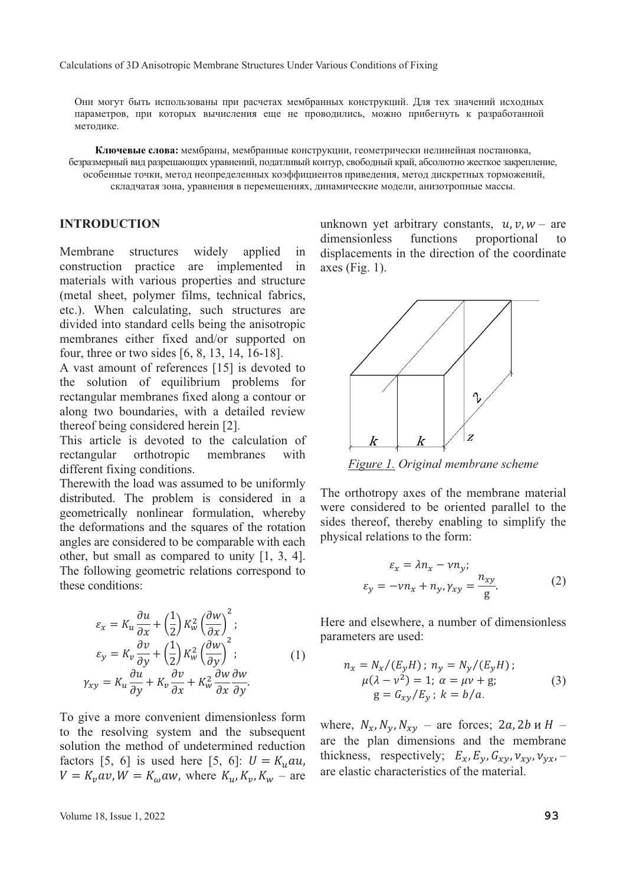Они могут быть использованы при расчетах мембранных конструкций. Для тех значений исходных параметров, при которых вычисления еще не проводились, можно прибегнуть к разработанной методике.

Ключевые слова: мембраны, мембранные конструкции, геометрически нелинейная постановка, безразмерный вид разрешающих уравнений, податливый контур, свободный край, абсолютно жесткое закрепление, особенные точки, метод неопределенных коэффициентов приведения, метод дискретных торможений, складчатая зона, уравнения в перемещениях, динамические модели, анизотропные массы.

#### **INTRODUCTION**

Membrane structures widely applied in construction practice are implemented in materials with various properties and structure (metal sheet, polymer films, technical fabrics, etc.). When calculating, such structures are divided into standard cells being the anisotropic membranes either fixed and/or supported on four, three or two sides [6, 8, 13, 14, 16-18].

A vast amount of references [15] is devoted to the solution of equilibrium problems for rectangular membranes fixed along a contour or along two boundaries, with a detailed review thereof being considered herein [2].

This article is devoted to the calculation of<br>rectangular orthotropic membranes with membranes different fixing conditions.

Therewith the load was assumed to be uniformly distributed. The problem is considered in a geometrically nonlinear formulation, whereby the deformations and the squares of the rotation angles are considered to be comparable with each other, but small as compared to unity [1, 3, 4]. The following geometric relations correspond to these conditions:

$$
\varepsilon_x = K_u \frac{\partial u}{\partial x} + \left(\frac{1}{2}\right) K_w^2 \left(\frac{\partial w}{\partial x}\right)^2; \n\varepsilon_y = K_v \frac{\partial v}{\partial y} + \left(\frac{1}{2}\right) K_w^2 \left(\frac{\partial w}{\partial y}\right)^2; \n\gamma_{xy} = K_u \frac{\partial u}{\partial y} + K_v \frac{\partial v}{\partial x} + K_w^2 \frac{\partial w}{\partial x} \frac{\partial w}{\partial y}.
$$
\n(1)

To give a more convenient dimensionless form to the resolving system and the subsequent solution the method of undetermined reduction factors [5, 6] is used here [5, 6]:  $U = K_u \alpha u$ ,  $V = K_v a v$ ,  $W = K_\omega a w$ , where  $K_u$ ,  $K_v$ ,  $K_w$  – are unknown yet arbitrary constants,  $u, v, w$  – are<br>dimensionless functions proportional to dimensionless displacements in the direction of the coordinate axes (Fig. 1).



*Figure 1. Original membrane scheme* 

The orthotropy axes of the membrane material were considered to be oriented parallel to the sides thereof, thereby enabling to simplify the physical relations to the form:

$$
\varepsilon_x = \lambda n_x - \nu n_y; \n\varepsilon_y = -\nu n_x + n_y, \gamma_{xy} = \frac{n_{xy}}{g}.
$$
\n(2)

Here and elsewhere, a number of dimensionless parameters are used:

$$
n_x = N_x / (E_y H); n_y = N_y / (E_y H);
$$
  
\n
$$
\mu(\lambda - v^2) = 1; \ \alpha = \mu v + g; \qquad (3)
$$
  
\n
$$
g = G_{xy} / E_y; \ k = b/a.
$$

where,  $N_x$ ,  $N_y$ ,  $N_{xy}$  – are forces; 2*a*, 2*b v H* – are the plan dimensions and the membrane thickness, respectively;  $E_x$ ,  $E_y$ ,  $G_{xy}$ ,  $v_{xy}$ ,  $v_{yx}$ , – are elastic characteristics of the material.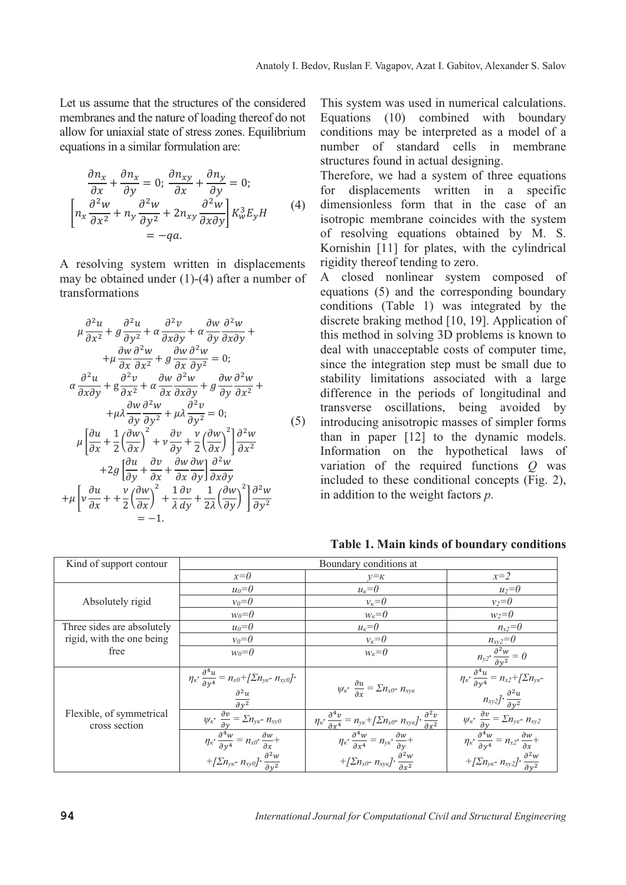Let us assume that the structures of the considered membranes and the nature of loading thereof do not allow for uniaxial state of stress zones. Equilibrium equations in a similar formulation are:

$$
\frac{\partial n_x}{\partial x} + \frac{\partial n_x}{\partial y} = 0; \frac{\partial n_{xy}}{\partial x} + \frac{\partial n_y}{\partial y} = 0; \n\left[ n_x \frac{\partial^2 w}{\partial x^2} + n_y \frac{\partial^2 w}{\partial y^2} + 2n_{xy} \frac{\partial^2 w}{\partial x \partial y} \right] K_w^3 E_y H
$$
\n
$$
= -qa.
$$
\n(4)

A resolving system written in displacements may be obtained under (1)-(4) after a number of transformations

$$
\mu \frac{\partial^2 u}{\partial x^2} + g \frac{\partial^2 u}{\partial y^2} + \alpha \frac{\partial^2 v}{\partial x \partial y} + \alpha \frac{\partial w}{\partial y} \frac{\partial^2 w}{\partial x \partial y} +
$$
\n
$$
+ \mu \frac{\partial w}{\partial x} \frac{\partial^2 w}{\partial x^2} + g \frac{\partial w}{\partial x} \frac{\partial^2 w}{\partial y^2} = 0;
$$
\n
$$
\alpha \frac{\partial^2 u}{\partial x \partial y} + g \frac{\partial^2 v}{\partial x^2} + \alpha \frac{\partial w}{\partial x} \frac{\partial^2 w}{\partial x \partial y} + g \frac{\partial w}{\partial y} \frac{\partial^2 w}{\partial x^2} +
$$
\n
$$
+ \mu \lambda \frac{\partial w}{\partial y} \frac{\partial^2 w}{\partial y^2} + \mu \lambda \frac{\partial^2 v}{\partial y^2} = 0;
$$
\n
$$
\mu \left[ \frac{\partial u}{\partial x} + \frac{1}{2} \left( \frac{\partial w}{\partial x} \right)^2 + v \frac{\partial v}{\partial y} + \frac{v}{2} \left( \frac{\partial w}{\partial x} \right)^2 \right] \frac{\partial^2 w}{\partial x^2} + 2g \left[ \frac{\partial u}{\partial y} + \frac{\partial v}{\partial x} + \frac{\partial w}{\partial x} \frac{\partial w}{\partial y} \right] \frac{\partial^2 w}{\partial x \partial y} + \mu \left[ v \frac{\partial u}{\partial x} + \frac{v}{2} \left( \frac{\partial w}{\partial x} \right)^2 + \frac{1}{\lambda} \frac{\partial v}{\partial y} + \frac{1}{2\lambda} \left( \frac{\partial w}{\partial y} \right)^2 \right] \frac{\partial^2 w}{\partial y^2} = -1.
$$
\n(5)

This system was used in numerical calculations. Equations (10) combined with boundary conditions may be interpreted as a model of a number of standard cells in membrane structures found in actual designing.

Therefore, we had a system of three equations<br>for displacements written in a specific displacements written in a specific dimensionless form that in the case of an isotropic membrane coincides with the system of resolving equations obtained by M. S. Kornishin [11] for plates, with the cylindrical rigidity thereof tending to zero.

A closed nonlinear system composed of equations (5) and the corresponding boundary conditions (Table 1) was integrated by the discrete braking method [10, 19]. Application of this method in solving 3D problems is known to deal with unacceptable costs of computer time, since the integration step must be small due to stability limitations associated with a large difference in the periods of longitudinal and transverse oscillations, being avoided by introducing anisotropic masses of simpler forms than in paper [12] to the dynamic models. Information on the hypothetical laws of variation of the required functions *Q* was included to these conditional concepts (Fig. 2), in addition to the weight factors *p*.

| Kind of support contour                   | Boundary conditions at                                                                                                                                                                                                                                      |                                                                                                                                                                                                                                                                                       |                                                                                                                                                                                                                                                          |
|-------------------------------------------|-------------------------------------------------------------------------------------------------------------------------------------------------------------------------------------------------------------------------------------------------------------|---------------------------------------------------------------------------------------------------------------------------------------------------------------------------------------------------------------------------------------------------------------------------------------|----------------------------------------------------------------------------------------------------------------------------------------------------------------------------------------------------------------------------------------------------------|
|                                           | $x=0$                                                                                                                                                                                                                                                       | $v = \kappa$                                                                                                                                                                                                                                                                          | $x=2$                                                                                                                                                                                                                                                    |
| Absolutely rigid                          | $u_0=0$                                                                                                                                                                                                                                                     | $u_{\kappa}=0$                                                                                                                                                                                                                                                                        | $u_2=0$                                                                                                                                                                                                                                                  |
|                                           | $v_0=0$                                                                                                                                                                                                                                                     | $v_k=0$                                                                                                                                                                                                                                                                               | $v_2 = 0$                                                                                                                                                                                                                                                |
|                                           | $w_0=0$                                                                                                                                                                                                                                                     | $w_{\kappa}=0$                                                                                                                                                                                                                                                                        | $w_2=0$                                                                                                                                                                                                                                                  |
| Three sides are absolutely                | $u_0=0$                                                                                                                                                                                                                                                     | $u_{\kappa}=0$                                                                                                                                                                                                                                                                        | $n_{x2}=0$                                                                                                                                                                                                                                               |
| rigid, with the one being                 | $v_0=0$                                                                                                                                                                                                                                                     | $v_k=0$                                                                                                                                                                                                                                                                               | $n_{xy2}=0$                                                                                                                                                                                                                                              |
| free                                      | $w_0=0$                                                                                                                                                                                                                                                     | $w_{k} = 0$                                                                                                                                                                                                                                                                           |                                                                                                                                                                                                                                                          |
| Flexible, of symmetrical<br>cross section | $\eta_{\kappa} \cdot \frac{\partial^4 u}{\partial v^4} = n_{\kappa 0} + [\Sigma n_{\gamma \kappa} - n_{\kappa \gamma 0}].$<br>$\frac{\partial^2 u}{\partial y^2}$                                                                                           | $\psi_{\kappa}$ $\frac{\partial u}{\partial x} = \sum n_{x0} - n_{xy\kappa}$                                                                                                                                                                                                          | $\frac{n_{xyz}}{n_{yz} \cdot \frac{\partial^2 w}{\partial y^2} = 0}$<br>$\frac{n_{xz} \cdot \frac{\partial^4 u}{\partial y^4} = n_{xz} + \sqrt{\sum n_{yx}}}{\frac{n_{xyz} \cdot \frac{\partial^2 u}{\partial y^2}}{\frac{\partial^2 u}{\partial y^2}}}$ |
|                                           |                                                                                                                                                                                                                                                             |                                                                                                                                                                                                                                                                                       |                                                                                                                                                                                                                                                          |
|                                           | $\frac{\psi_{\kappa} \cdot \frac{\partial v}{\partial y} = \sum n_{yx} - n_{xy0}}{n_{\kappa} \cdot \frac{\partial^4 w}{\partial y^4} = n_{x0} \cdot \frac{\partial w}{\partial x} +$<br>+[ $\sum n_{yx}$ - $n_{xy0}$ ]. $\frac{\partial^2 w}{\partial y^2}$ | $\frac{\eta_{\kappa}\cdot \frac{\partial^4 v}{\partial x^4}}{\eta_{\kappa}\cdot \frac{\partial^4 w}{\partial x^4}} = n_{yx} + \left[\sum n_{x0^-} n_{xyx}\right] \cdot \frac{\partial^2 v}{\partial x^2}$<br>+[ $\sum n_{x0}$ - $n_{xy\kappa}$ ]. $\frac{\partial^2 w}{\partial x^2}$ | $\frac{\partial y}{\partial y} = \sum n_{yx} - n_{xy}^2$<br>$\eta_x \cdot \frac{\partial^4 w}{\partial y^4} = n_{xz} \cdot \frac{\partial w}{\partial x} +$<br>+[ $\sum n_{yx}$ - $n_{xy2}$ ]· $\frac{\partial^2 w}{\partial y^2}$                       |
|                                           |                                                                                                                                                                                                                                                             |                                                                                                                                                                                                                                                                                       |                                                                                                                                                                                                                                                          |

**Table 1. Main kinds of boundary conditions**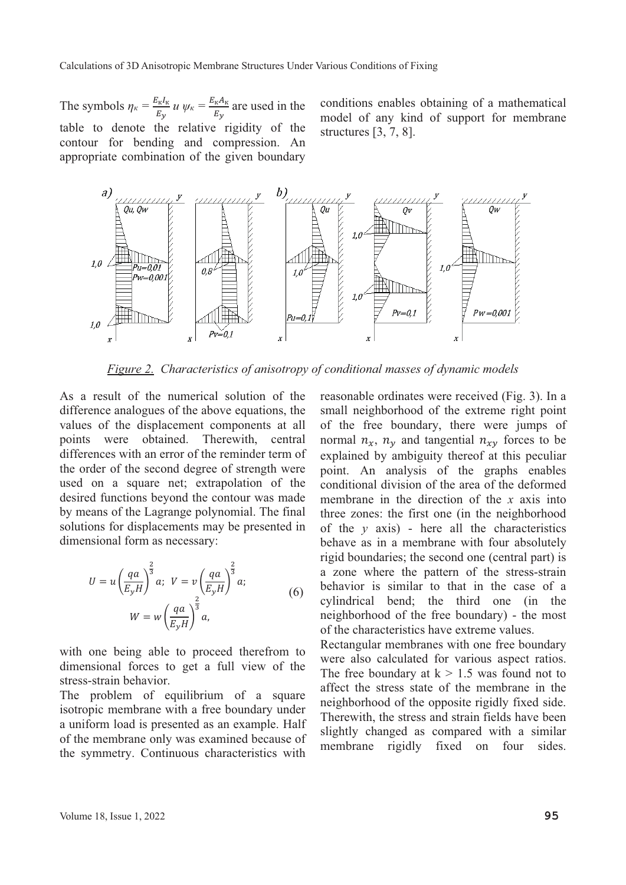The symbols  $\eta_{\kappa} = \frac{E_{\kappa}I_{\kappa}}{F}$  $\frac{E_K I_K}{E_y} u \psi_K = \frac{E_K A_K}{E_y}$  $\frac{R^{11}R}{E_y}$  are used in the table to denote the relative rigidity of the contour for bending and compression. An appropriate combination of the given boundary

conditions enables obtaining of a mathematical model of any kind of support for membrane structures [3, 7, 8].



*Figure Characteristics of anisotropy of conditional masses of dynamic models*

As a result of the numerical solution of the difference analogues of the above equations, the values of the displacement components at all points were obtained. Therewith, central differences with an error of the reminder term of the order of the second degree of strength were used on a square net; extrapolation of the desired functions beyond the contour was made by means of the Lagrange polynomial. The final solutions for displacements may be presented in dimensional form as necessary:

$$
U = u \left(\frac{qa}{E_y H}\right)^{\frac{2}{3}} a; \quad V = v \left(\frac{qa}{E_y H}\right)^{\frac{2}{3}} a; \quad W = w \left(\frac{qa}{E_y H}\right)^{\frac{2}{3}} a, \quad (6)
$$

with one being able to proceed therefrom to dimensional forces to get a full view of the stress-strain behavior.

The problem of equilibrium of a square isotropic membrane with a free boundary under a uniform load is presented as an example. Half of the membrane only was examined because of the symmetry. Continuous characteristics with

reasonable ordinates were received (Fig. 3). In a small neighborhood of the extreme right point of the free boundary, there were jumps of normal  $n_x$ ,  $n_y$  and tangential  $n_{xy}$  forces to be explained by ambiguity thereof at this peculiar point. An analysis of the graphs enables conditional division of the area of the deformed membrane in the direction of the *x* axis into three zones: the first one (in the neighborhood of the  $y$  axis) - here all the characteristics behave as in a membrane with four absolutely rigid boundaries; the second one (central part) is a zone where the pattern of the stress-strain behavior is similar to that in the case of a cylindrical bend; the third one (in the neighborhood of the free boundary) - the most of the characteristics have extreme values.

Rectangular membranes with one free boundary were also calculated for various aspect ratios. The free boundary at  $k > 1.5$  was found not to affect the stress state of the membrane in the neighborhood of the opposite rigidly fixed side. Therewith, the stress and strain fields have been slightly changed as compared with a similar membrane rigidly fixed on four sides.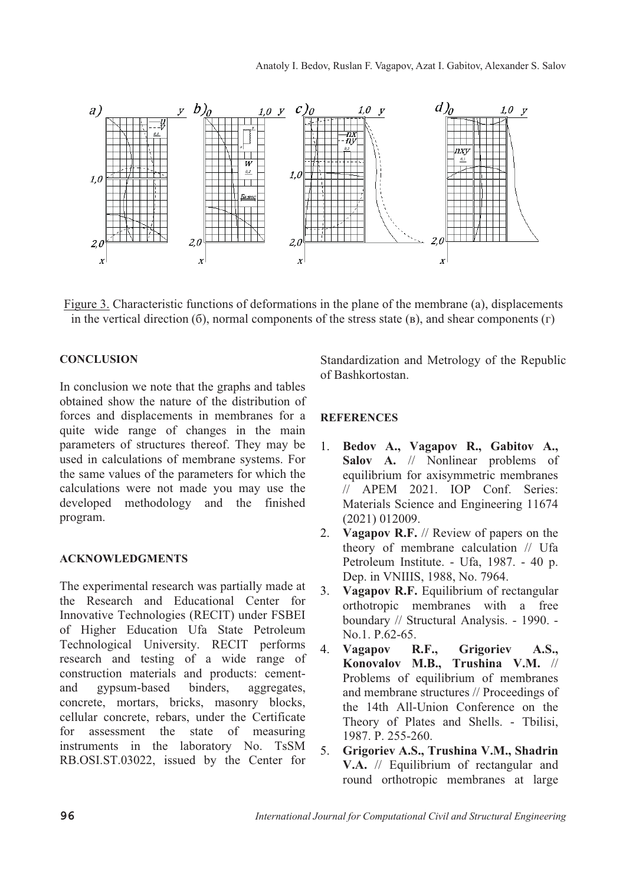

Figure 3. Characteristic functions of deformations in the plane of the membrane (a), displacements in the vertical direction  $(6)$ , normal components of the stress state  $(B)$ , and shear components  $(Γ)$ 

#### **CONCLUSION**

In conclusion we note that the graphs and tables obtained show the nature of the distribution of forces and displacements in membranes for a quite wide range of changes in the main parameters of structures thereof. They may be used in calculations of membrane systems. For the same values of the parameters for which the calculations were not made you may use the developed methodology and the finished program.

#### **ACKNOWLEDGMENTS**

The experimental research was partially made at the Research and Educational Center for Innovative Technologies (RECIT) under FSBEI of Higher Education Ufa State Petroleum Technological University. RECIT performs research and testing of a wide range of construction materials and products: cement-<br>and gypsum-based binders, aggregates, and gypsum-based binders, aggregates, concrete, mortars, bricks, masonry blocks, cellular concrete, rebars, under the Certificate for assessment the state of measuring instruments in the laboratory No. TsSM RB.OSI.ST.03022, issued by the Center for

Standardization and Metrology of the Republic of Bashkortostan.

#### **REFERENCES**

- 1. **Bedov A., Vagapov R., Gabitov A., Salov A.** // Nonlinear problems of equilibrium for axisymmetric membranes // APEM 2021. IOP Conf. Series: Materials Science and Engineering 11674 (2021) 012009.
- 2. **Vagapov R.F.** // Review of papers on the theory of membrane calculation // Ufa Petroleum Institute. - Ufa, 1987. - 40 p. Dep. in VNIIIS, 1988, No. 7964.
- 3. **Vagapov R.F.** Equilibrium of rectangular orthotropic membranes with a free boundary // Structural Analysis. - 1990. - No.1. P.62-65.
- 4. **Vagapov R.F., Grigoriev A.S., Konovalov M.B., Trushina V.M.** // Problems of equilibrium of membranes and membrane structures // Proceedings of the 14th All-Union Conference on the Theory of Plates and Shells. - Tbilisi, 1987. P. 255-260.
- 5. **Grigoriev A.S., Trushina V.M., Shadrin V.A.** // Equilibrium of rectangular and round orthotropic membranes at large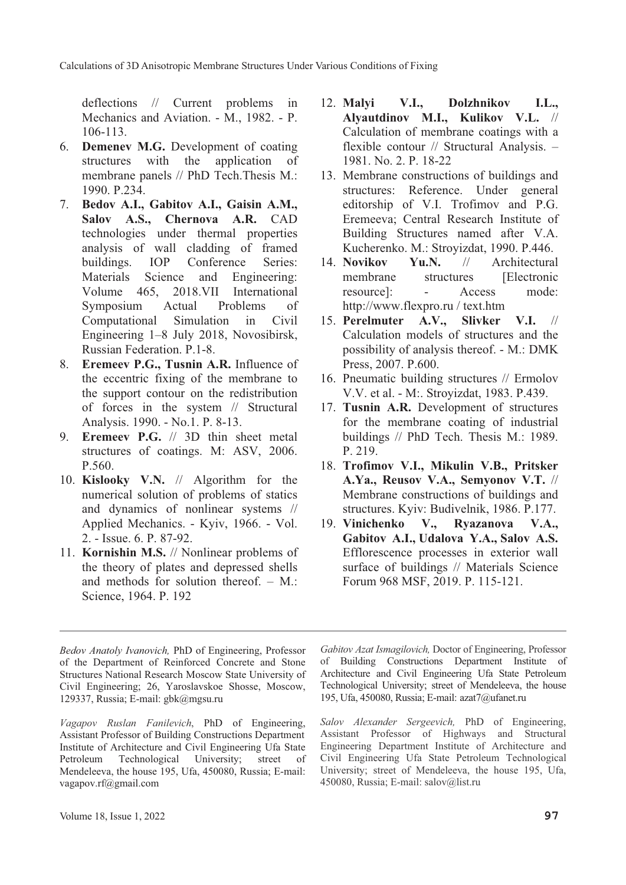deflections // Current problems in Mechanics and Aviation. - M., 1982. - P. 106-113.

- 6. **Demenev M.G.** Development of coating structures with the application of membrane panels // PhD Tech.Thesis M.: 1990. P.234.
- 7. **Bedov A.I., Gabitov A.I., Gaisin A.M., Salov A.S., Chernova A.R.** CAD technologies under thermal properties analysis of wall cladding of framed<br>buildings. IOP Conference Series: Conference Materials Science and Engineering: Volume 465, 2018.VII International Symposium Actual Problems of Computational Simulation in Civil Engineering 1–8 July 2018, Novosibirsk, Russian Federation. P.1-8.
- 8. **Eremeev P.G., Tusnin A.R.** Influence of the eccentric fixing of the membrane to the support contour on the redistribution of forces in the system // Structural Analysis. 1990. - No.1. P. 8-13.
- 9. **Eremeev P.G.** // 3D thin sheet metal structures of coatings. M: ASV, 2006. P.560.
- 10. **Kislooky V.N.** // Algorithm for the numerical solution of problems of statics and dynamics of nonlinear systems // Applied Mechanics. - Kyiv, 1966. - Vol. 2. - Issue. 6. P. 87-92.
- 11. **Kornishin M.S.** // Nonlinear problems of the theory of plates and depressed shells and methods for solution thereof. – M.: Science, 1964. P. 192
- *Bedov Anatoly Ivanovich,* PhD of Engineering, Professor of the Department of Reinforced Concrete and Stone Structures National Research Moscow State University of Civil Engineering; 26, Yaroslavskoe Shosse, Moscow, 129337, Russia; E-mail: gbk@mgsu.ru

*Vagapov Ruslan Fanilevich*, PhD of Engineering, Assistant Professor of Building Constructions Department Institute of Architecture and Civil Engineering Ufa State Technological University; street of Mendeleeva, the house 195, Ufa, 450080, Russia; E-mail: vagapov.rf@gmail.com

- 12. **Malyi V.I., Dolzhnikov I.L., Alyautdinov M.I., Kulikov V.L.** // Calculation of membrane coatings with a flexible contour // Structural Analysis. – 1981. No. 2. P. 18-22
- 13. Membrane constructions of buildings and structures: Reference. Under general editorship of V.I. Trofimov and P.G. Eremeeva; Central Research Institute of Building Structures named after V.A. Kucherenko. M.: Stroyizdat, 1990. P.446.<br>Novikov Yu.N. // Architectural
- 14. **Novikov Yu.N.** // Architectural membrane structures [Electronic] resource]: - Access mode: http://www.flexpro.ru / text.htm<br>**Perelmuter A.V., Slivker V.I.** //
- 15. **Perelmuter A.V., Slivker** Calculation models of structures and the possibility of analysis thereof. - M.: DMK Press, 2007. P.600.
- 16. Pneumatic building structures // Ermolov V.V. et al. - M:. Stroyizdat, 1983. P.439.
- 17. **Tusnin A.R.** Development of structures for the membrane coating of industrial buildings // PhD Tech. Thesis M.: 1989. P. 219.
- 18. **Trofimov V.I., Mikulin V.B., Pritsker A.Ya., Reusov V.A., Semyonov V.T.** // Membrane constructions of buildings and structures. Kyiv: Budivelnik, 1986. P.177.<br>Vinichenko V., Ryazanova V.A.,
- 19. **Vinichenko V., Ryazanova V.A., Gabitov A.I., Udalova Y.A., Salov A.S.** Efflorescence processes in exterior wall surface of buildings // Materials Science Forum 968 MSF, 2019. P. 115-121.

*Gabitov Azat Ismagilovich,* Doctor of Engineering, Professor of Building Constructions Department Institute of Architecture and Civil Engineering Ufa State Petroleum Technological University; street of Mendeleeva, the house 195, Ufa, 450080, Russia; E-mail: azat7@ufanet.ru

*Salov Alexander Sergeevich,* PhD of Engineering, Assistant Professor of Highways and Structural Engineering Department Institute of Architecture and Civil Engineering Ufa State Petroleum Technological University; street of Mendeleeva, the house 195, Ufa, 450080, Russia; E-mail: salov@list.ru